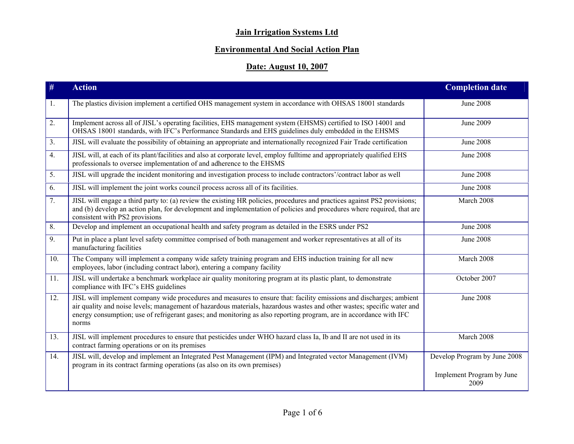# **Jain Irrigation Systems Ltd**

## **Environmental And Social Action Plan**

## **Date: August 10, 2007**

| #              | <b>Action</b>                                                                                                                                                                                                                                                                                                                                                                | <b>Completion date</b>            |
|----------------|------------------------------------------------------------------------------------------------------------------------------------------------------------------------------------------------------------------------------------------------------------------------------------------------------------------------------------------------------------------------------|-----------------------------------|
| 1.             | The plastics division implement a certified OHS management system in accordance with OHSAS 18001 standards                                                                                                                                                                                                                                                                   | <b>June 2008</b>                  |
| 2.             | Implement across all of JISL's operating facilities, EHS management system (EHSMS) certified to ISO 14001 and<br>OHSAS 18001 standards, with IFC's Performance Standards and EHS guidelines duly embedded in the EHSMS                                                                                                                                                       | June 2009                         |
| 3 <sub>1</sub> | JISL will evaluate the possibility of obtaining an appropriate and internationally recognized Fair Trade certification                                                                                                                                                                                                                                                       | <b>June 2008</b>                  |
| 4.             | JISL will, at each of its plant/facilities and also at corporate level, employ fulltime and appropriately qualified EHS<br>professionals to oversee implementation of and adherence to the EHSMS                                                                                                                                                                             | <b>June 2008</b>                  |
| 5.             | JISL will upgrade the incident monitoring and investigation process to include contractors'/contract labor as well                                                                                                                                                                                                                                                           | <b>June 2008</b>                  |
| 6.             | JISL will implement the joint works council process across all of its facilities.                                                                                                                                                                                                                                                                                            | <b>June 2008</b>                  |
| 7.             | JISL will engage a third party to: (a) review the existing HR policies, procedures and practices against PS2 provisions;<br>and (b) develop an action plan, for development and implementation of policies and procedures where required, that are<br>consistent with PS2 provisions                                                                                         | March 2008                        |
| 8.             | Develop and implement an occupational health and safety program as detailed in the ESRS under PS2                                                                                                                                                                                                                                                                            | <b>June 2008</b>                  |
| 9.             | Put in place a plant level safety committee comprised of both management and worker representatives at all of its<br>manufacturing facilities                                                                                                                                                                                                                                | <b>June 2008</b>                  |
| 10.            | The Company will implement a company wide safety training program and EHS induction training for all new<br>employees, labor (including contract labor), entering a company facility                                                                                                                                                                                         | March 2008                        |
| 11.            | JISL will undertake a benchmark workplace air quality monitoring program at its plastic plant, to demonstrate<br>compliance with IFC's EHS guidelines                                                                                                                                                                                                                        | October 2007                      |
| 12.            | JISL will implement company wide procedures and measures to ensure that: facility emissions and discharges; ambient<br>air quality and noise levels; management of hazardous materials, hazardous wastes and other wastes; specific water and<br>energy consumption; use of refrigerant gases; and monitoring as also reporting program, are in accordance with IFC<br>norms | <b>June 2008</b>                  |
| 13.            | JISL will implement procedures to ensure that pesticides under WHO hazard class Ia, Ib and II are not used in its<br>contract farming operations or on its premises                                                                                                                                                                                                          | March 2008                        |
| 14.            | JISL will, develop and implement an Integrated Pest Management (IPM) and Integrated vector Management (IVM)<br>program in its contract farming operations (as also on its own premises)                                                                                                                                                                                      | Develop Program by June 2008      |
|                |                                                                                                                                                                                                                                                                                                                                                                              | Implement Program by June<br>2009 |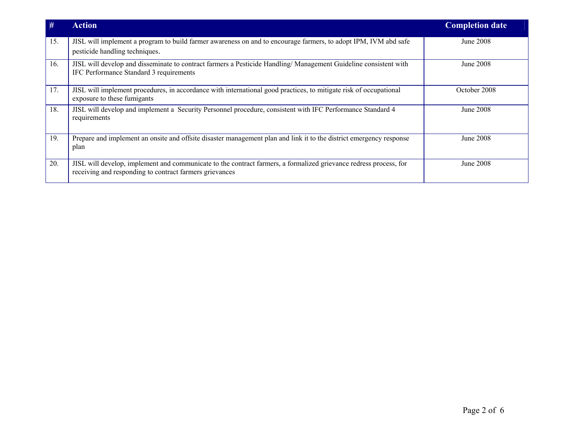| #   | <b>Action</b>                                                                                                                                                                | <b>Completion date</b> |
|-----|------------------------------------------------------------------------------------------------------------------------------------------------------------------------------|------------------------|
| 15. | JISL will implement a program to build farmer awareness on and to encourage farmers, to adopt IPM, IVM abd safe<br>pesticide handling techniques.                            | June 2008              |
| 16. | JISL will develop and disseminate to contract farmers a Pesticide Handling/Management Guideline consistent with<br>IFC Performance Standard 3 requirements                   | June 2008              |
| 17. | JISL will implement procedures, in accordance with international good practices, to mitigate risk of occupational<br>exposure to these fumigants                             | October 2008           |
| 18. | JISL will develop and implement a Security Personnel procedure, consistent with IFC Performance Standard 4<br>requirements                                                   | June 2008              |
| 19. | Prepare and implement an onsite and offsite disaster management plan and link it to the district emergency response<br>plan                                                  | June 2008              |
| 20. | JISL will develop, implement and communicate to the contract farmers, a formalized grievance redress process, for<br>receiving and responding to contract farmers grievances | June 2008              |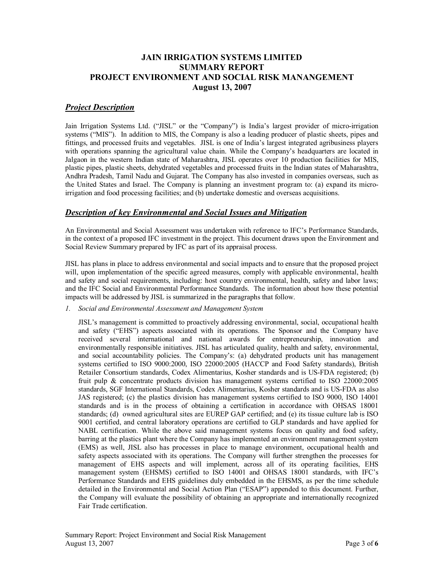## **JAIN IRRIGATION SYSTEMS LIMITED SUMMARY REPORT PROJECT ENVIRONMENT AND SOCIAL RISK MANANGEMENT August 13, 2007**

## *Project Description*

Jain Irrigation Systems Ltd. ("JISL" or the "Company") is India's largest provider of micro-irrigation systems ("MIS"). In addition to MIS, the Company is also a leading producer of plastic sheets, pipes and fittings, and processed fruits and vegetables. JISL is one of India's largest integrated agribusiness players with operations spanning the agricultural value chain. While the Company's headquarters are located in Jalgaon in the western Indian state of Maharashtra, JISL operates over 10 production facilities for MIS, plastic pipes, plastic sheets, dehydrated vegetables and processed fruits in the Indian states of Maharashtra, Andhra Pradesh, Tamil Nadu and Gujarat. The Company has also invested in companies overseas, such as the United States and Israel. The Company is planning an investment program to: (a) expand its micro irrigation and food processing facilities; and (b) undertake domestic and overseas acquisitions.

### *Description of key Environmental and Social Issues and Mitigation*

An Environmental and Social Assessment was undertaken with reference to IFC's Performance Standards, in the context of a proposed IFC investment in the project. This document draws upon the Environment and Social Review Summary prepared by IFC as part of its appraisal process.

JISL has plans in place to address environmental and social impacts and to ensure that the proposed project will, upon implementation of the specific agreed measures, comply with applicable environmental, health and safety and social requirements, including: host country environmental, health, safety and labor laws; and the IFC Social and Environmental Performance Standards. The information about how these potential impacts will be addressed by JISL is summarized in the paragraphs that follow.

#### *1. Social and Environmental Assessment and Management System*

JISL's management is committed to proactively addressing environmental, social, occupational health and safety ("EHS") aspects associated with its operations. The Sponsor and the Company have received several international and national awards for entrepreneurship, innovation and environmentally responsible initiatives. JISL has articulated quality, health and safety, environmental, and social accountability policies. The Company's: (a) dehydrated products unit has management systems certified to ISO 9000:2000, ISO 22000:2005 (HACCP and Food Safety standards), British Retailer Consortium standards, Codex Alimentarius, Kosher standards and is USFDA registered; (b) fruit pulp & concentrate products division has management systems certified to ISO 22000:2005 standards, SGF International Standards, Codex Alimentarius, Kosher standards and is USFDA as also JAS registered; (c) the plastics division has management systems certified to ISO 9000, ISO 14001 standards and is in the process of obtaining a certification in accordance with OHSAS 18001 standards; (d) owned agricultural sites are EUREP GAP certified; and (e) its tissue culture lab is ISO 9001 certified, and central laboratory operations are certified to GLP standards and have applied for NABL certification. While the above said management systems focus on quality and food safety, barring at the plastics plant where the Company has implemented an environment management system (EMS) as well, JISL also has processes in place to manage environment, occupational health and safety aspects associated with its operations. The Company will further strengthen the processes for management of EHS aspects and will implement, across all of its operating facilities, EHS management system (EHSMS) certified to ISO 14001 and OHSAS 18001 standards, with IFC's Performance Standards and EHS guidelines duly embedded in the EHSMS, as per the time schedule detailed in the Environmental and Social Action Plan ("ESAP") appended to this document. Further, the Company will evaluate the possibility of obtaining an appropriate and internationally recognized Fair Trade certification.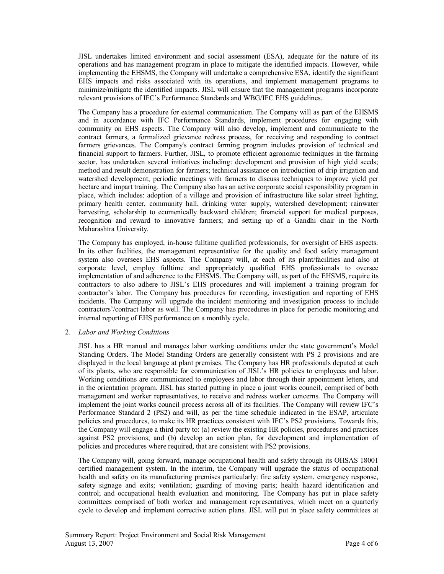JISL undertakes limited environment and social assessment (ESA), adequate for the nature of its operations and has management program in place to mitigate the identified impacts. However, while implementing the EHSMS, the Company will undertake a comprehensive ESA, identify the significant EHS impacts and risks associated with its operations, and implement management programs to minimize/mitigate the identified impacts. JISL will ensure that the management programs incorporate relevant provisions of IFC's Performance Standards and WBG/IFC EHS guidelines.

The Company has a procedure for external communication. The Company will as part of the EHSMS and in accordance with IFC Performance Standards, implement procedures for engaging with community on EHS aspects. The Company will also develop, implement and communicate to the contract farmers, a formalized grievance redress process, for receiving and responding to contract farmers grievances. The Company's contract farming program includes provision of technical and financial support to farmers. Further, JISL, to promote efficient agronomic techniques in the farming sector, has undertaken several initiatives including: development and provision of high yield seeds; method and result demonstration for farmers; technical assistance on introduction of drip irrigation and watershed development; periodic meetings with farmers to discuss techniques to improve yield per hectare and impart training. The Company also has an active corporate social responsibility program in place, which includes: adoption of a village and provision of infrastructure like solar street lighting, primary health center, community hall, drinking water supply, watershed development; rainwater harvesting, scholarship to ecumenically backward children; financial support for medical purposes, recognition and reward to innovative farmers; and setting up of a Gandhi chair in the North Maharashtra University.

The Company has employed, inhouse fulltime qualified professionals, for oversight of EHS aspects. In its other facilities, the management representative for the quality and food safety management system also oversees EHS aspects. The Company will, at each of its plant/facilities and also at corporate level, employ fulltime and appropriately qualified EHS professionals to oversee implementation of and adherence to the EHSMS. The Company will, as part of the EHSMS, require its contractors to also adhere to JISL's EHS procedures and will implement a training program for contractor's labor. The Company has procedures for recording, investigation and reporting of EHS incidents. The Company will upgrade the incident monitoring and investigation process to include contractors'/contract labor as well. The Company has procedures in place for periodic monitoring and internal reporting of EHS performance on a monthly cycle.

#### 2. *Labor and Working Conditions*

JISL has a HR manual and manages labor working conditions under the state government's Model Standing Orders. The Model Standing Orders are generally consistent with PS 2 provisions and are displayed in the local language at plant premises. The Company has HR professionals deputed at each of its plants, who are responsible for communication of JISL's HR policies to employees and labor. Working conditions are communicated to employees and labor through their appointment letters, and in the orientation program. JISL has started putting in place a joint works council, comprised of both management and worker representatives, to receive and redress worker concerns. The Company will implement the joint works council process across all of its facilities. The Company will review IFC's Performance Standard 2 (PS2) and will, as per the time schedule indicated in the ESAP, articulate policies and procedures, to make its HR practices consistent with IFC's PS2 provisions. Towards this, the Company will engage a third party to: (a) review the existing HR policies, procedures and practices against PS2 provisions; and (b) develop an action plan, for development and implementation of policies and procedures where required, that are consistent with PS2 provisions.

The Company will, going forward, manage occupational health and safety through its OHSAS 18001 certified management system. In the interim, the Company will upgrade the status of occupational health and safety on its manufacturing premises particularly: fire safety system, emergency response, safety signage and exits; ventilation; guarding of moving parts; health hazard identification and control; and occupational health evaluation and monitoring. The Company has put in place safety committees comprised of both worker and management representatives, which meet on a quarterly cycle to develop and implement corrective action plans. JISL will put in place safety committees at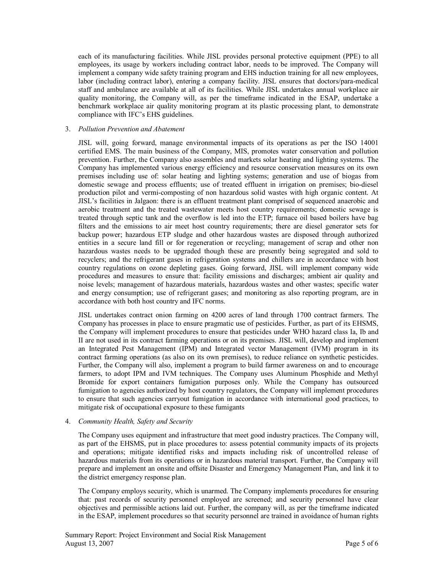each of its manufacturing facilities. While JISL provides personal protective equipment (PPE) to all employees, its usage by workers including contract labor, needs to be improved. The Company will implement a company wide safety training program and EHS induction training for all new employees, labor (including contract labor), entering a company facility. JISL ensures that doctors/para-medical staff and ambulance are available at all of its facilities. While JISL undertakes annual workplace air quality monitoring, the Company will, as per the timeframe indicated in the ESAP, undertake a benchmark workplace air quality monitoring program at its plastic processing plant, to demonstrate compliance with IFC's EHS guidelines.

#### 3. *Pollution Prevention and Abatement*

JISL will, going forward, manage environmental impacts of its operations as per the ISO 14001 certified EMS. The main business of the Company, MIS, promotes water conservation and pollution prevention. Further, the Company also assembles and markets solar heating and lighting systems. The Company has implemented various energy efficiency and resource conservation measures on its own premises including use of: solar heating and lighting systems; generation and use of biogas from domestic sewage and process effluents; use of treated effluent in irrigation on premises; bio-diesel production pilot and vermicomposting of non hazardous solid wastes with high organic content. At JISL's facilities in Jalgaon: there is an effluent treatment plant comprised of sequenced anaerobic and aerobic treatment and the treated wastewater meets host country requirements; domestic sewage is treated through septic tank and the overflow isled into the ETP; furnace oil based boilers have bag filters and the emissions to air meet host country requirements; there are diesel generator sets for backup power; hazardous ETP sludge and other hazardous wastes are disposed through authorized entities in a secure land fill or for regeneration or recycling; management of scrap and other non hazardous wastes needs to be upgraded though these are presently being segregated and sold to recyclers; and the refrigerant gases in refrigeration systems and chillers are in accordance with host country regulations on ozone depleting gases. Going forward, JISL will implement company wide procedures and measures to ensure that: facility emissions and discharges; ambient air quality and noise levels; management of hazardous materials, hazardous wastes and other wastes; specific water and energy consumption; use of refrigerant gases; and monitoring as also reporting program, are in accordance with both host country and IFC norms.

JISL undertakes contract onion farming on 4200 acres of land through 1700 contract farmers. The Company has processes in place to ensure pragmatic use of pesticides. Further, as part of its EHSMS, the Company will implement procedures to ensure that pesticides under WHO hazard class Ia, Ib and II are not used in its contract farming operations or on its premises. JISL will, develop and implement an Integrated Pest Management (IPM) and Integrated vector Management (IVM) program in its contract farming operations (as also on its own premises), to reduce reliance on synthetic pesticides. Further, the Company will also, implement a program to build farmer awareness on and to encourage farmers, to adopt IPM and IVM techniques. The Company uses Aluminum Phosphide and Methyl Bromide for export containers fumigation purposes only. While the Company has outsourced fumigation to agencies authorized by host country regulators, the Company will implement procedures to ensure that such agencies carryout fumigation in accordance with international good practices, to mitigate risk of occupational exposure to these fumigants

#### 4. *Community Health, Safety and Security*

The Company uses equipment and infrastructure that meet good industry practices. The Company will, as part of the EHSMS, put in place procedures to: assess potential community impacts of its projects and operations; mitigate identified risks and impacts including risk of uncontrolled release of hazardous materials from its operations or in hazardous material transport. Further, the Company will prepare and implement an onsite and offsite Disaster and Emergency Management Plan, and link it to the district emergency response plan.

The Company employs security, which is unarmed. The Company implements procedures for ensuring that: past records of security personnel employed are screened; and security personnel have clear objectives and permissible actions laid out. Further, the company will, as per the timeframe indicated in the ESAP, implement procedures so that security personnel are trained in avoidance of human rights